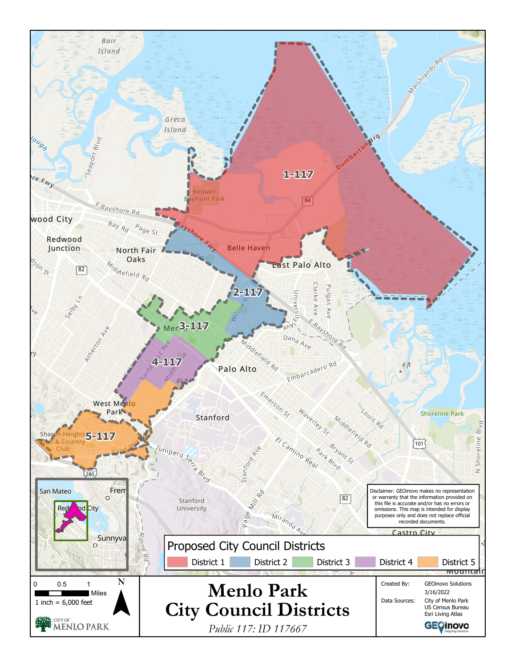